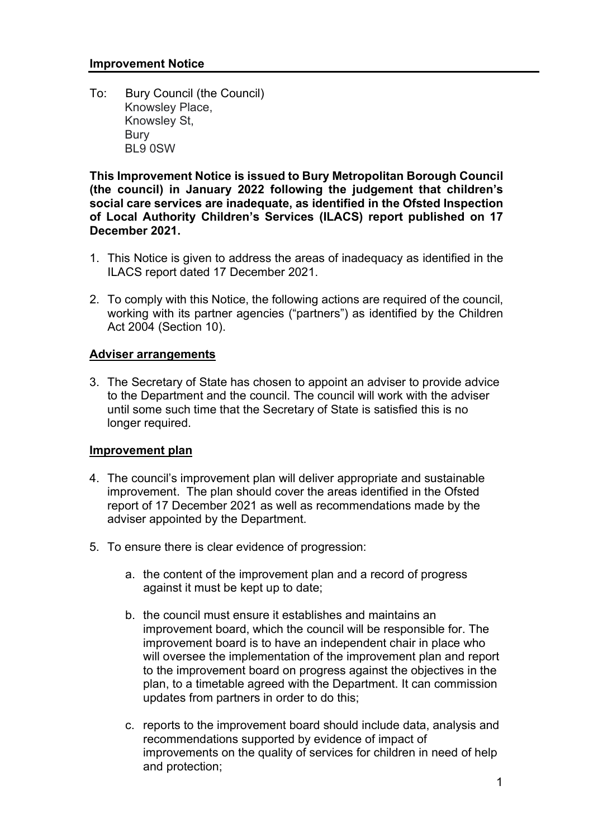To: Knowsley Place, Knowsley St, Bury BL9 0SW Bury Council (the Council)

 This Improvement Notice is issued to Bury Metropolitan Borough Council (the council) in January 2022 following the judgement that children's social care services are inadequate, as identified in the Ofsted Inspection of Local Authority Children's Services (ILACS) report published on 17 December 2021.

- 1. This Notice is given to address the areas of inadequacy as identified in the ILACS report dated 17 December 2021.
- 2. To comply with this Notice, the following actions are required of the council, working with its partner agencies ("partners") as identified by the Children Act 2004 (Section 10).

## Adviser arrangements

 3. The Secretary of State has chosen to appoint an adviser to provide advice to the Department and the council. The council will work with the adviser until some such time that the Secretary of State is satisfied this is no longer required.

## **Improvement plan**

- 4. The council's improvement plan will deliver appropriate and sustainable improvement. The plan should cover the areas identified in the Ofsted report of 17 December 2021 as well as recommendations made by the adviser appointed by the Department.
- 5. To ensure there is clear evidence of progression:
	- a. the content of the improvement plan and a record of progress against it must be kept up to date;
	- b. the council must ensure it establishes and maintains an improvement board, which the council will be responsible for. The improvement board is to have an independent chair in place who will oversee the implementation of the improvement plan and report to the improvement board on progress against the objectives in the plan, to a timetable agreed with the Department. It can commission updates from partners in order to do this;
	- c. reports to the improvement board should include data, analysis and recommendations supported by evidence of impact of improvements on the quality of services for children in need of help and protection;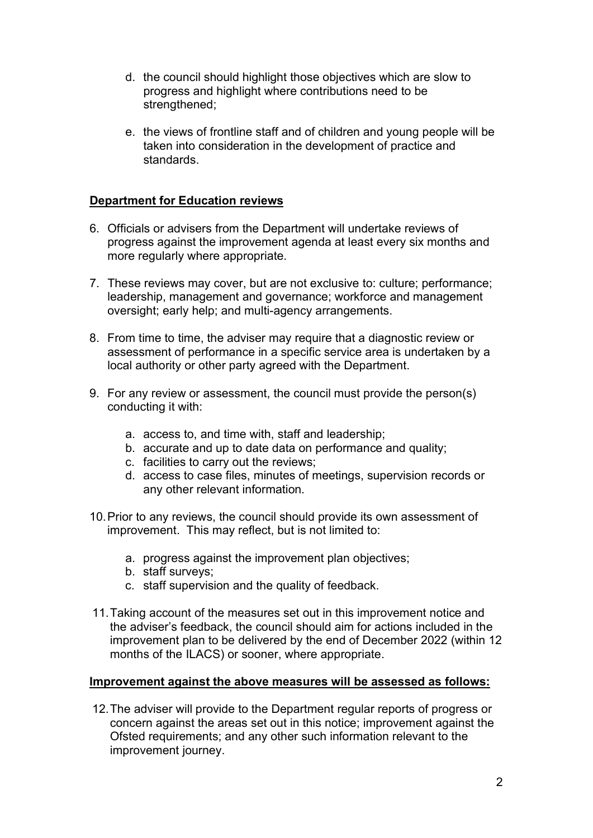- d. the council should highlight those objectives which are slow to progress and highlight where contributions need to be strengthened;
- e. the views of frontline staff and of children and young people will be taken into consideration in the development of practice and standards.

# **Department for Education reviews**

- 6. Officials or advisers from the Department will undertake reviews of progress against the improvement agenda at least every six months and more regularly where appropriate.
- 7. These reviews may cover, but are not exclusive to: culture; performance; leadership, management and governance; workforce and management oversight; early help; and multi-agency arrangements.
- 8. From time to time, the adviser may require that a diagnostic review or assessment of performance in a specific service area is undertaken by a local authority or other party agreed with the Department.
- 9. For any review or assessment, the council must provide the person(s) conducting it with:
	- a. access to, and time with, staff and leadership;
	- b. accurate and up to date data on performance and quality;
	- c. facilities to carry out the reviews;
	- d. access to case files, minutes of meetings, supervision records or any other relevant information.
- 10.Prior to any reviews, the council should provide its own assessment of improvement. This may reflect, but is not limited to:
	- a. progress against the improvement plan objectives;
	- b. staff surveys;
	- c. staff supervision and the quality of feedback.
- 11.Taking account of the measures set out in this improvement notice and the adviser's feedback, the council should aim for actions included in the improvement plan to be delivered by the end of December 2022 (within 12 months of the ILACS) or sooner, where appropriate.

#### Improvement against the above measures will be assessed as follows:

 12.The adviser will provide to the Department regular reports of progress or concern against the areas set out in this notice; improvement against the Ofsted requirements; and any other such information relevant to the improvement journey.